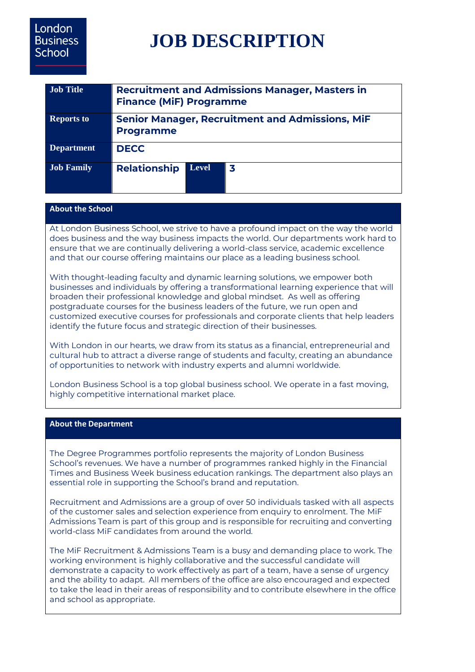# London **Business** School

# **JOB DESCRIPTION**

| <b>Job Title</b>  | <b>Recruitment and Admissions Manager, Masters in</b><br><b>Finance (MiF) Programme</b> |              |   |
|-------------------|-----------------------------------------------------------------------------------------|--------------|---|
| <b>Reports to</b> | <b>Senior Manager, Recruitment and Admissions, MiF</b><br><b>Programme</b>              |              |   |
| <b>Department</b> | <b>DECC</b>                                                                             |              |   |
| <b>Job Family</b> | <b>Relationship</b>                                                                     | <b>Level</b> | 3 |

# **About the School**

At London Business School, we strive to have a profound impact on the way the world does business and the way business impacts the world. Our departments work hard to ensure that we are continually delivering a world-class service, academic excellence and that our course offering maintains our place as a leading business school.

With thought-leading faculty and dynamic learning solutions, we empower both businesses and individuals by offering a transformational learning experience that will broaden their professional knowledge and global mindset. As well as offering postgraduate courses for the business leaders of the future, we run open and customized executive courses for professionals and corporate clients that help leaders identify the future focus and strategic direction of their businesses.

With London in our hearts, we draw from its status as a financial, entrepreneurial and cultural hub to attract a diverse range of students and faculty, creating an abundance of opportunities to network with industry experts and alumni worldwide.

London Business School is a top global business school. We operate in a fast moving, highly competitive international market place.

#### **About the Department**

The Degree Programmes portfolio represents the majority of London Business School's revenues. We have a number of programmes ranked highly in the Financial Times and Business Week business education rankings. The department also plays an essential role in supporting the School's brand and reputation.

Recruitment and Admissions are a group of over 50 individuals tasked with all aspects of the customer sales and selection experience from enquiry to enrolment. The MiF Admissions Team is part of this group and is responsible for recruiting and converting world-class MiF candidates from around the world.

The MiF Recruitment & Admissions Team is a busy and demanding place to work. The working environment is highly collaborative and the successful candidate will demonstrate a capacity to work effectively as part of a team, have a sense of urgency and the ability to adapt. All members of the office are also encouraged and expected to take the lead in their areas of responsibility and to contribute elsewhere in the office and school as appropriate.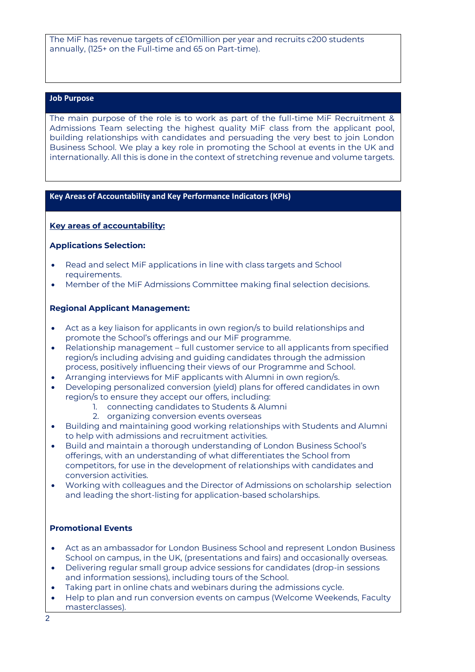The MiF has revenue targets of c£10million per year and recruits c200 students annually, (125+ on the Full-time and 65 on Part-time).

#### **Job Purpose**

The main purpose of the role is to work as part of the full-time MiF Recruitment & Admissions Team selecting the highest quality MiF class from the applicant pool, building relationships with candidates and persuading the very best to join London Business School. We play a key role in promoting the School at events in the UK and internationally. All this is done in the context of stretching revenue and volume targets.

#### **Key Areas of Accountability and Key Performance Indicators (KPIs)**

#### **Key areas of accountability:**

#### **Applications Selection:**

- Read and select MiF applications in line with class targets and School requirements.
- Member of the MiF Admissions Committee making final selection decisions.

#### **Regional Applicant Management:**

- Act as a key liaison for applicants in own region/s to build relationships and promote the School's offerings and our MiF programme.
- Relationship management full customer service to all applicants from specified region/s including advising and guiding candidates through the admission process, positively influencing their views of our Programme and School.
- Arranging interviews for MiF applicants with Alumni in own region/s.
- Developing personalized conversion (yield) plans for offered candidates in own region/s to ensure they accept our offers, including:
	- 1. connecting candidates to Students & Alumni
	- 2. organizing conversion events overseas
- Building and maintaining good working relationships with Students and Alumni to help with admissions and recruitment activities.
- Build and maintain a thorough understanding of London Business School's offerings, with an understanding of what differentiates the School from competitors, for use in the development of relationships with candidates and conversion activities.
- Working with colleagues and the Director of Admissions on scholarship selection and leading the short-listing for application-based scholarships.

#### **Promotional Events**

- Act as an ambassador for London Business School and represent London Business School on campus, in the UK, (presentations and fairs) and occasionally overseas.
- Delivering regular small group advice sessions for candidates (drop-in sessions and information sessions), including tours of the School.
- Taking part in online chats and webinars during the admissions cycle.
- Help to plan and run conversion events on campus (Welcome Weekends, Faculty masterclasses).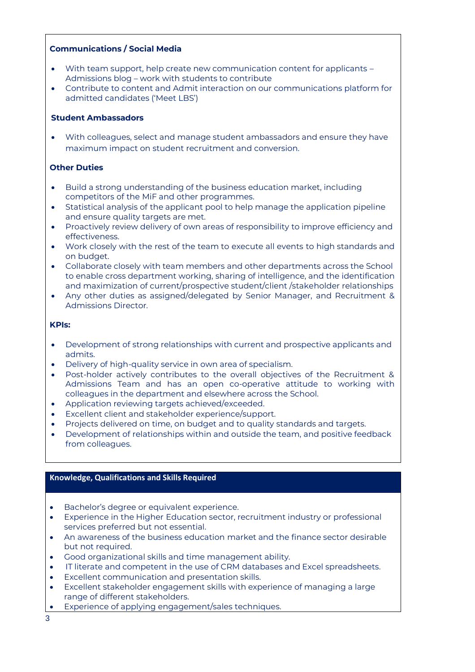# **Communications / Social Media**

- With team support, help create new communication content for applicants Admissions blog – work with students to contribute
- Contribute to content and Admit interaction on our communications platform for admitted candidates ('Meet LBS')

## **Student Ambassadors**

• With colleagues, select and manage student ambassadors and ensure they have maximum impact on student recruitment and conversion.

# **Other Duties**

- Build a strong understanding of the business education market, including competitors of the MiF and other programmes.
- Statistical analysis of the applicant pool to help manage the application pipeline and ensure quality targets are met.
- Proactively review delivery of own areas of responsibility to improve efficiency and effectiveness.
- Work closely with the rest of the team to execute all events to high standards and on budget.
- Collaborate closely with team members and other departments across the School to enable cross department working, sharing of intelligence, and the identification and maximization of current/prospective student/client /stakeholder relationships
- Any other duties as assigned/delegated by Senior Manager, and Recruitment & Admissions Director.

#### **KPIs:**

- Development of strong relationships with current and prospective applicants and admits.
- Delivery of high-quality service in own area of specialism.
- Post-holder actively contributes to the overall objectives of the Recruitment & Admissions Team and has an open co-operative attitude to working with colleagues in the department and elsewhere across the School.
- Application reviewing targets achieved/exceeded.
- Excellent client and stakeholder experience/support.
- Projects delivered on time, on budget and to quality standards and targets.
- Development of relationships within and outside the team, and positive feedback from colleagues.

# **Knowledge, Qualifications and Skills Required**

- Bachelor's degree or equivalent experience.
- Experience in the Higher Education sector, recruitment industry or professional services preferred but not essential.
- An awareness of the business education market and the finance sector desirable but not required.
- Good organizational skills and time management ability.
- IT literate and competent in the use of CRM databases and Excel spreadsheets.
- Excellent communication and presentation skills.
- Excellent stakeholder engagement skills with experience of managing a large range of different stakeholders.
- Experience of applying engagement/sales techniques.